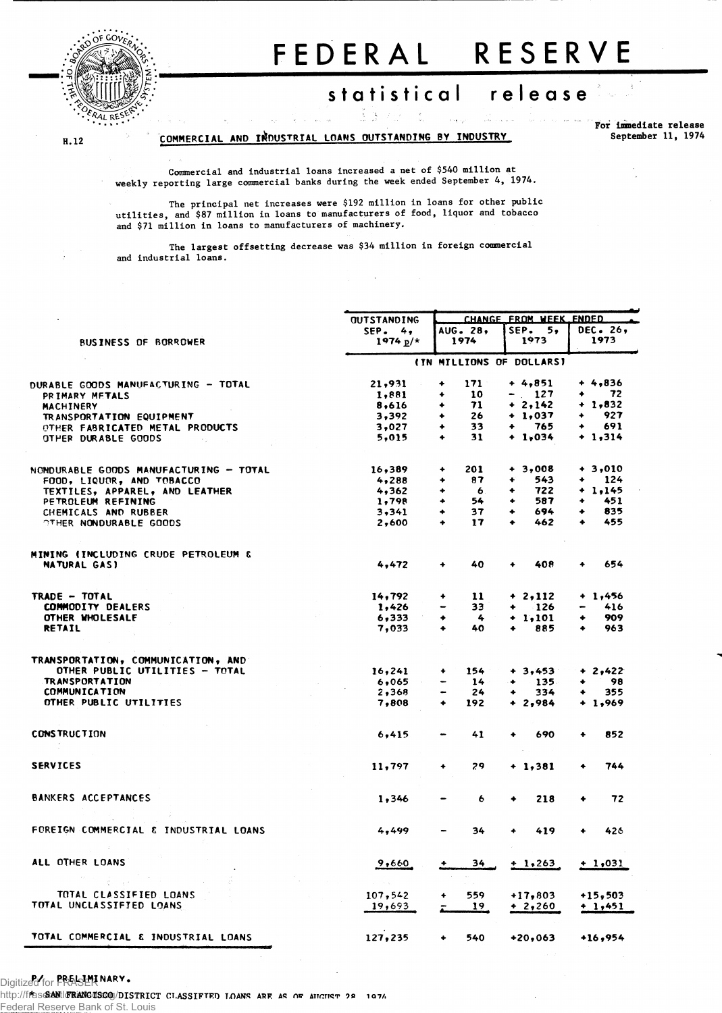

 $H.12$ 

# FEDERAL RESERVE

## statistical release

COMMERCIAL AND INDUSTRIAL LOANS OUTSTANDING BY INDUSTRY

For immediate release September 11, 1974

Commercial and industrial loans increased a net of \$540 million at weekly reporting large commercial banks during the week ended September 4, 1974.

The principal net increases were \$192 million in loans for other public<br>utilities, and \$87 million in loans to manufacturers of food, liquor and tobacco and \$71 million in loans to manufacturers of machinery.

The largest offsetting decrease was \$34 million in foreign commercial and industrial loans.

| <b>BUSINESS OF BORROWER</b>                          | <b>OUTSTANDING</b><br>$SEP$ . 4,<br>$1974 p/*$ | AUG. 28.<br>1974               | CHANGE FROM WEEK ENDED<br>SEP.<br>5,<br>1973 | DEC. 26,<br>1973 |  |  |
|------------------------------------------------------|------------------------------------------------|--------------------------------|----------------------------------------------|------------------|--|--|
|                                                      |                                                |                                |                                              |                  |  |  |
|                                                      |                                                |                                |                                              |                  |  |  |
|                                                      |                                                |                                |                                              |                  |  |  |
|                                                      |                                                |                                | (IN MILLIONS OF DOLLARS)                     |                  |  |  |
| DURABLE GOODS MANUFACTURING - TOTAL                  | 21,931                                         | 171<br>۰                       | $+4,851$                                     | $+4,836$         |  |  |
| PRIMARY METALS                                       | 1,881                                          | 10<br>۰                        | $-127$                                       | 72               |  |  |
| <b>MACHINERY</b>                                     | 8,616                                          | 71<br>۰                        | $+ 2,142$                                    | $+ 1,832$        |  |  |
| TRANSPORTATION EQUIPMENT                             | 3,392                                          | 26<br>٠                        | $+1,037$                                     | 927<br>٠         |  |  |
| OTHER FABRICATED METAL PRODUCTS                      | 3,027                                          | 33<br>٠                        | 765<br>٠                                     | 691              |  |  |
| OTHER DURABLE GOODS                                  | 5,015                                          | 31<br>٠                        | $+ 1,034$                                    | $+1,314$         |  |  |
| NONDURABLE GOODS MANUFACTURING - TOTAL               | 16,389                                         | 201<br>۰                       | $+3,008$                                     | $+3,010$         |  |  |
| FOOD, LIQUOR, AND TOBACCO                            | 4,288                                          | 87<br>۰                        | 543<br>۰                                     | 124              |  |  |
|                                                      | 4,362                                          | ۰<br>- 6.                      | 722<br>۰                                     | $+ 1.145$        |  |  |
| TEXTILES, APPAREL, AND LEATHER<br>PETROLEUM REFINING | 1,798                                          | 54<br>٠                        | 587<br>۰                                     | 451<br>۰         |  |  |
|                                                      | 3,341                                          | 37<br>٠                        | 694<br>۰                                     | 835<br>۰         |  |  |
| CHEMICALS AND RUBBER                                 |                                                |                                | ٠                                            | 455              |  |  |
| OTHER NONDURABLE GOODS                               | 2,600                                          | 17<br>٠                        | 462                                          |                  |  |  |
| <b>MINING (INCLUDING CRUDE PETROLEUM &amp;</b>       |                                                |                                |                                              |                  |  |  |
| <b>NATURAL GAS)</b>                                  | 4,472                                          | 40<br>۰                        | 408                                          | 654              |  |  |
| TRADE - TOTAL                                        | 14,792                                         | 11<br>۰                        | $+ 2,112$                                    | $+ 1,456$        |  |  |
| <b>COMMODITY DEALERS</b>                             | 1,426                                          | 33                             | $-126$<br>۰                                  | 416              |  |  |
| OTHER WHOLESALE                                      | 6,333                                          | 4<br>۰                         | $+ 1,101$                                    | 909<br>۰         |  |  |
| <b>RETAIL</b>                                        | 7,033                                          | 40<br>٠                        | 885                                          | 963<br>٠         |  |  |
|                                                      |                                                |                                |                                              |                  |  |  |
| TRANSPORTATION, COMMUNICATION, AND                   |                                                |                                |                                              |                  |  |  |
| OTHER PUBLIC UTILITIES - TOTAL                       | 16,241                                         | 154<br>٠                       | $+3,453$                                     | $+ 2,422$        |  |  |
| <b>TRANSPORTATION</b>                                | 6,065                                          | 14                             | $-135$<br>۰                                  | 98<br>۰          |  |  |
| <b>COMMUNICATION</b>                                 | 2,368                                          | 24<br>$\overline{\phantom{a}}$ | 334<br>٠                                     | 355<br>۰         |  |  |
| OTHER PUBLIC UTILITIES                               | 7,808                                          | $\ddotmark$<br>192             | $+2,984$                                     | $+ 1,969$        |  |  |
| <b>CONSTRUCTION</b>                                  | 6,415                                          | 41                             | 690                                          | 852              |  |  |
|                                                      |                                                |                                |                                              |                  |  |  |
| <b>SERVICES</b>                                      | 11,797                                         | 29                             | + 1,381                                      | 744<br>۰         |  |  |
| <b>BANKERS ACCEPTANCES</b>                           | 1,346                                          | 6                              | 218                                          | 72<br>٠          |  |  |
|                                                      |                                                |                                |                                              |                  |  |  |
| FOREIGN COMMERCIAL & INDUSTRIAL LOANS                | 4,499                                          | 34                             | 419<br>۰                                     | 426              |  |  |
| ALL OTHER LOANS                                      | 9,660                                          | 34                             | $+1,263$                                     | $+1,031$         |  |  |
|                                                      |                                                |                                |                                              |                  |  |  |
| TOTAL CLASSIFIED LOANS                               | 107,542                                        | 559.                           | $+17,803$                                    | $+15,503$        |  |  |
| TOTAL UNCLASSIFIED LOANS                             | 19,693                                         | 19                             | + 2,260                                      | $+ 1,451$        |  |  |
| TOTAL COMMERCIAL & INDUSTRIAL LOANS                  | 127,235                                        | 540                            | +20,063                                      | $+16,954$        |  |  |

### Digitized for **PREL-LMI NARY.**

http://fras&ANtl@BANG@SGQ/DISTRICT CLASSIFTED LOANS ARE AS OF AHGIET 28 1976 Reserve Bank of St. Louis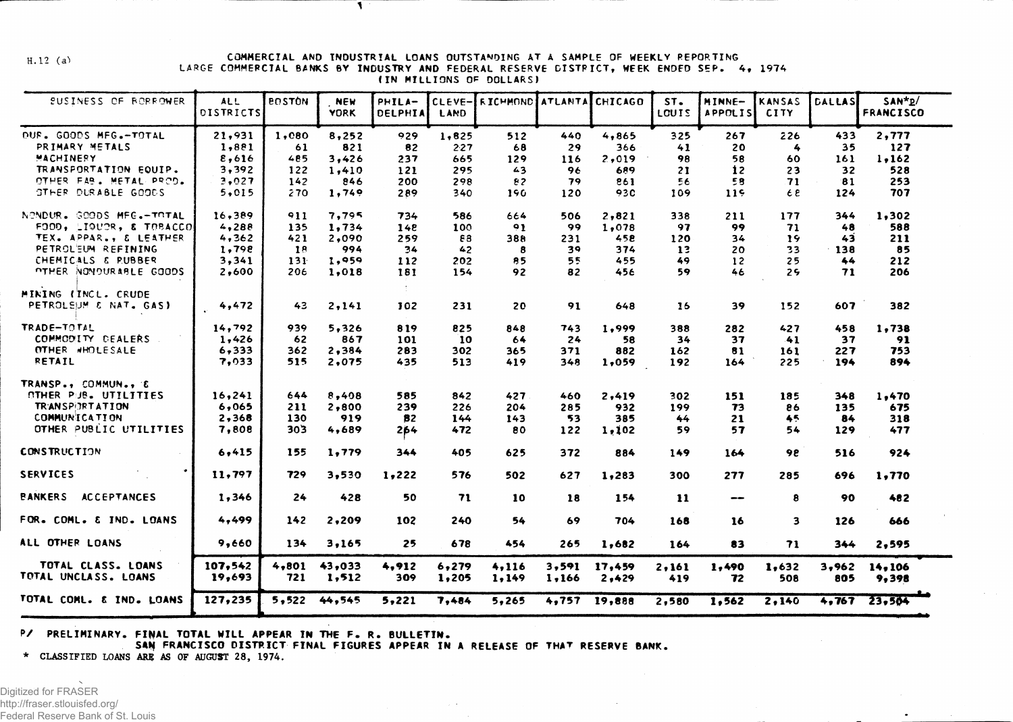$H.12 (a)$ 

#### **COMMERCIA L A ND INDUSTRIAL LOANS OUTSTANDING AT A SAMPLE OF WEEKLY REPORTIN G** LARGE COMMERCIAL BANKS BY INDUSTRY AND FEDERAL RESERVE DISTRICT, WEEK ENDED SEP. 4, 1974 **(IN MILLION S OF DOLLARS I**

 $\mathbf{I}$ 

| <b>SUSINESS OF RORROWER</b>                 | <b>ALL</b><br><b>DISTRICTS</b> | <b>BOSTON</b> | <b>NEW</b><br><b>YORK</b> | PHILA-<br>DELPHIA | CLEVE-<br>LAND | ERICHMOND ATLANTA CHICAGO |       |        | ST.<br>LCUIS | MINNE-<br><b>APPOLIS</b>     | KANSAS<br><b>CITY</b> | <b>DALLAS</b> | $SAN*p$<br><b>FRANCISCO</b> |  |
|---------------------------------------------|--------------------------------|---------------|---------------------------|-------------------|----------------|---------------------------|-------|--------|--------------|------------------------------|-----------------------|---------------|-----------------------------|--|
| OUF. GOODS MFG.-TOTAL                       | 21,931                         | 1,080         | 8,252                     | 929               | 1,825          | 512                       | 440   | 4,865  | 325          | 267                          | 226                   | 433           | 2,777                       |  |
| PRIMARY METALS                              | 1,881                          | 61            | 821                       | 82                | 2.27           | 68                        | 29    | 366    | 41           | 20                           | 4                     | 35            | 127                         |  |
| MACHINERY                                   | 8,616                          | 485           | 3,426                     | 237               | 665            | 129                       | 116   | 2,019  | 98           | 58                           | 60                    | 161           | 1,162                       |  |
| TRANSPORTATION EQUIP.                       | 3,392                          | 122           | 1,410                     | 121               | 295            | 43                        | 96    | 689    | 21           | 12                           | 23                    | 32            | 528                         |  |
| OTHER FAB. METAL PROD.                      | 3,027                          | 142           | 846                       | 200               | 298            | 82                        | 79    | 861    | 56           | 58                           | 71                    | 81            | 253                         |  |
| <b>GTHER DURABLE GOODS</b>                  | 5,015                          | 270           | 1,749                     | 289               | 340            | 190                       | 120   | 930    | 109          | 119                          | E E                   | 124           | 707                         |  |
| NENDUR. GEODS MFG.-TOTAL                    | 16,389                         | 911           | 7,795                     | 734               | 586            | 664                       | 506   | 2,821  | 338          | 211                          | 177                   | 344           | 1,302                       |  |
| FOOD, LIQUOR, & TOBACCO                     | 4,288                          | 135           | 1,734                     | 148               | 100            | 91                        | 99    | 1,078  | 97           | 99                           | 71                    | 48            | 588                         |  |
| TEX. APPAR., & LEATHER                      | 4,362                          | 421           | 2,090                     | 259               | 83             | 388                       | 231   | 458    | 120          | 34                           | 19                    | 43            | 211                         |  |
| PETROL'EUM REFINING                         | 1,798                          | 18            | 994                       | 34                | 42             | 8                         | 39    | 374    | 13           | 20                           | 33                    | 138           | 85                          |  |
| CHEMICALS & RUBBER                          | 3,341                          | 131           | 1,959                     | 112               | 202            | 85                        | 55    | 455    | 49           | 12                           | 25                    | 44            | 212                         |  |
| <b>OTHER NONDURABLE GOODS</b>               | 2,600                          | 206           | 1,018                     | 181               | 154            | 92                        | 82    | 456    | 59           | 46                           | 25                    | 71            | 206                         |  |
| MINING (INCL. CRUDE                         |                                |               |                           | đ.                |                |                           |       |        |              |                              |                       |               |                             |  |
| PETROLEUM & NAT. GAS)                       | 4,472                          | 43            | 2,141                     | 102               | 231            | 20                        | 91    | 648    | 16           | 39                           | 152                   | 607           | 382                         |  |
| TRADE-TOTAL                                 | 14,792                         | 939           | 5,326                     | 819               | 825            | 848                       | 743   | 1,999  | 388          | 282                          | 427                   | 458           | 1.738                       |  |
| COMMODITY DEALERS                           | 1,426                          | 62            | 867                       | 101               | 10             | 64                        | 24    | 58     | 34           | 37                           | 41                    | 37            | 91                          |  |
| OTHER WHOLESALE                             | 6,333                          | 362           | 2,384                     | 283               | 302            | 365                       | 371   | 882    | 162          | 81                           | 161                   | 227           | 753                         |  |
| <b>RETAIL</b>                               | 7.033                          | 515           | 2,075                     | 435               | 513            | 419                       | 348   | 1,059  | 192          | 164                          | 225                   | 194           | 894                         |  |
| TRANSP., COMMUN., E                         |                                |               |                           |                   |                |                           |       |        |              |                              |                       |               |                             |  |
| OTHER PUB. UTILITIES                        | 16,241                         | 644           | 8,408                     | 585               | 842            | 427                       | 460   | 2,419  | 302          | 151                          | 185                   | 348           | 1,470                       |  |
| <b>TRANSPIRTATION</b>                       | 6,065                          | 211           | 2,800                     | 239               | 226            | 204                       | 285   | 932    | 199          | 73                           | 86                    | 135           | 675                         |  |
| <b>COMMUNICATION</b>                        | 2,368                          | 130           | 919                       | 82                | 144            | 143                       | 53    | 385    | 44           | 21                           | 45                    | 84            | 318                         |  |
| OTHER PUBLIC UTILITIES                      | 7,808                          | 303           | 4,689                     | 264               | 472            | 80                        | 122   | 1,102  | 59           | 57                           | 54                    | 129           | 477                         |  |
| <b>CONSTRUCTION</b>                         | 6,415                          | 155           | 1,779                     | 344               | 405            | 625                       | 372   | 884    | 149          | 164                          | 98                    | 516           | 924                         |  |
| <b>SERVICES</b>                             | 11.797                         | 729           | 3,530                     | 1,222             | 576            | 502                       | 627   | 1,283  | 300          | 277                          | 285                   | 696           | 1,770                       |  |
| <b><i>BANKERS</i></b><br><b>ACCEPTANCES</b> | 1,346                          | 24            | 428                       | 50                | 71             | 10                        | 18    | 154    | 11           | $\qquad \qquad \blacksquare$ | 8                     | 90            | 482                         |  |
| FOR. COML. & IND. LOANS                     | 4,499                          | 142           | 2,209                     | 102               | 240            | 54                        | 69    | 704    | 168          | 16                           | 3                     | 126           | 666                         |  |
| ALL OTHER LOANS                             | 9,660                          | 134           | 3,165                     | 25                | 678            | 454                       | 265   | 1,682  | 164          | 83                           | 71                    | 344           | 2,595                       |  |
| TOTAL CLASS. LOANS                          | 107,542                        | 4,801         | 43,033                    | 4,912             | 6,279          | 4,116                     | 3,591 | 17,459 | 2,161        | 1,490                        | 1,632                 | 3,962         | 14,106                      |  |
| TOTAL UNCLASS. LOANS                        | 19,693                         | 721           | 1,512                     | 309               | 1,205          | 1,149                     | 1,166 | 2,429  | 419          | 72                           | 508                   | 805           | 9,398                       |  |
| TOTAL COML. & IND. LOANS                    | 127,235                        | 5.522         | 44,545                    | 5,221             | 7,484          | 5,265                     | 4,757 | 19,888 | 2,580        | 1,562                        | 2,140                 | 4.767         | 23,504                      |  |

#### **P/ PRELIMINARY . FINAL TOTA L WILL APPEAR IN T HE F . R . BULLETIN .**

SAN FRANCISCO DISTRICT FINAL FIGURES APPEAR IN A RELEASE OF THAT RESERVE BANK.

**\* CLASSIFIED LOANS ARB AS OF AUGUST 28, 1974.**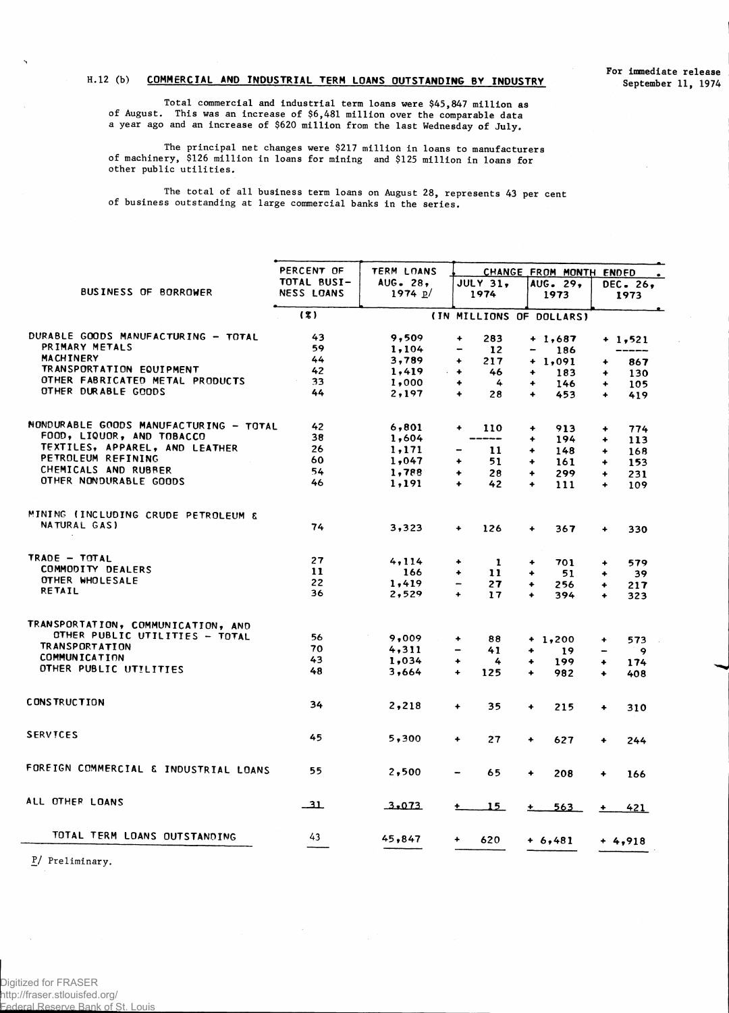### **H. 12 (b) COMMERCIAL AND INDUSTRIAL TERM LOANS OUTSTANDING BY INDUSTRY**

**Total commercial and industrial term loans were \$45,847 million as of August. This was an increase of \$6,481 million over the comparable data a year ago and an increase of \$620 million from the last Wednesday of July.**

**The principal net changes were \$217 million in loans to manufacturers of machinery, \$126 million in loans for mining and \$125 million in loans for other public utilities.**

**The total of all business term loans on August 28, represents 43 per cent of business outstanding at large commercial banks in the series.**

|                                        | PERCENT OF  | <b>TERM LOANS</b> | CHANGE FROM MONTH ENDED                           |                                |                                |  |  |  |  |
|----------------------------------------|-------------|-------------------|---------------------------------------------------|--------------------------------|--------------------------------|--|--|--|--|
|                                        | TOTAL BUSI- | AUG. $28$ ,       | <b>JULY 31.</b>                                   | AUG. 29,                       | DEC. 26,                       |  |  |  |  |
| <b>BUSINESS OF BORROWER</b>            | NESS LOANS  | 1974 $p/$         | 1974                                              | 1973                           | 1973                           |  |  |  |  |
|                                        | (3)         |                   | (IN MILLIONS OF DOLLARS)                          |                                |                                |  |  |  |  |
| DURABLE GOODS MANUFACTURING - TOTAL    | 43          | 9,509             | 283<br>$\ddotmark$                                | $+1,687$                       | $+ 1,521$                      |  |  |  |  |
| PRIMARY METALS                         | 59          | 1,104             | $12 \overline{ }$<br>$\qquad \qquad \blacksquare$ | 186<br>-                       |                                |  |  |  |  |
| <b>MACHINERY</b>                       | 44          | 3,789             | 217<br>$\ddotmark$                                | $+ 1,091$                      | 867<br>۰                       |  |  |  |  |
| TRANSPORTATION EQUIPMENT               | 42          | 1,419<br>$\sim$   | 46<br>$\ddotmark$                                 | 183<br>٠                       | 130<br>٠                       |  |  |  |  |
| OTHER FABRICATED METAL PRODUCTS        | 33          | 1,000             | 4<br>٠                                            | ٠<br>146                       | $\ddotmark$<br>105             |  |  |  |  |
| OTHER DURABLE GOODS                    | 44          | 2,197             | $\ddotmark$<br>28                                 | 453<br>$\ddot{\phantom{1}}$    | $\ddotmark$<br>419             |  |  |  |  |
|                                        |             |                   |                                                   |                                |                                |  |  |  |  |
| NONDURABLE GOODS MANUFACTURING - TOTAL | 42          | 6,801             | $\ddotmark$<br>110                                | $\bullet$<br>913               | 774<br>۰                       |  |  |  |  |
| FOOD, LIQUOR, AND TOBACCO              | 38          | 1,604             | ----                                              | 194<br>$\ddotmark$             | $\ddotmark$<br>113             |  |  |  |  |
| TEXTILES, APPAREL, AND LEATHER         | 26          | 1,171             | 11                                                | $\ddotmark$<br>148             | ٠<br>168                       |  |  |  |  |
| PETROLEUM REFINING                     | 60          | 1,047             | 51<br>۰                                           | $\ddotmark$<br>161             | 153<br>٠                       |  |  |  |  |
| CHEMICALS AND RUBBER                   | 54          | 1,788             | 28<br>$\ddotmark$                                 | $\ddotmark$<br>299             | 231<br>٠                       |  |  |  |  |
| OTHER NONDURABLE GOODS                 | 46          | 1,191             | 42<br>$\ddotmark$                                 | $\ddotmark$<br>111             | $\ddotmark$<br>109             |  |  |  |  |
| MINING (INCLUDING CRUDE PETROLEUM &    |             |                   |                                                   |                                |                                |  |  |  |  |
| NATURAL GAS)                           | 74          | 3,323             | $\ddot{}$<br>126                                  | $\ddotmark$<br>367             | 330<br>$\ddot{}$               |  |  |  |  |
| TRADE - TOTAL                          | 27          | 4,114             | ۰<br>-1                                           | 701                            |                                |  |  |  |  |
| COMMODITY DEALERS                      | 11          | 166               | 11<br>۰                                           | ۰<br>$\ddotmark$               | 579<br>۰                       |  |  |  |  |
| OTHER WHOLESALE                        | 22          | 1,419             |                                                   | 51                             | 39<br>۰                        |  |  |  |  |
| RETAIL                                 | 36          | 2,529             | 27<br>17<br>$\ddot{}$                             | 256<br>۰<br>394<br>$\ddotmark$ | 217<br>۰<br>$\ddotmark$<br>323 |  |  |  |  |
| TRANSPORTATION, COMMUNICATION, AND     |             |                   |                                                   |                                |                                |  |  |  |  |
| OTHER PUBLIC UTILITIES - TOTAL         |             |                   |                                                   |                                |                                |  |  |  |  |
| <b>TRANSPORTATION</b>                  | 56          | 9,009             | 88<br>٠                                           | $+1,200$                       | 573<br>۰                       |  |  |  |  |
| <b>COMMUNICATION</b>                   | 70          | 4,311             | 41<br>-                                           | ۰<br>19                        | 9                              |  |  |  |  |
|                                        | 43          | 1,034             | 4<br>۰                                            | 199<br>۰                       | ۰<br>174                       |  |  |  |  |
| OTHER PUBLIC UTILITIES                 | 48          | 3,664             | $\ddotmark$<br>125                                | 982<br>$\ddotmark$             | 408<br>٠                       |  |  |  |  |
| <b>CONSTRUCTION</b>                    | 34          | 2,218             | 35<br>۰                                           | $\ddotmark$<br>215             | $\ddotmark$<br>310             |  |  |  |  |
| <b>SERVICES</b>                        | 45          | 5,300             | $\ddotmark$<br>27                                 | $\ddotmark$<br>627             | 244<br>$\ddotmark$             |  |  |  |  |
| FOREIGN COMMERCIAL & INDUSTRIAL LOANS  | 55          |                   |                                                   |                                |                                |  |  |  |  |
|                                        |             | 2,500             | 65<br>-                                           | ٠<br>208                       | $\ddotmark$<br>166             |  |  |  |  |
| ALL OTHER LOANS                        | _31         | 3.073             | <u> 15 - </u>                                     | 563<br>$+$                     | 421<br>$\ddotmark$             |  |  |  |  |
| TOTAL TERM LOANS OUTSTANDING           | 43          | 45,847            | 620                                               | $+ 6,481$                      | $+4,918$                       |  |  |  |  |
|                                        |             |                   |                                                   |                                |                                |  |  |  |  |

**P/ Preliminary.**